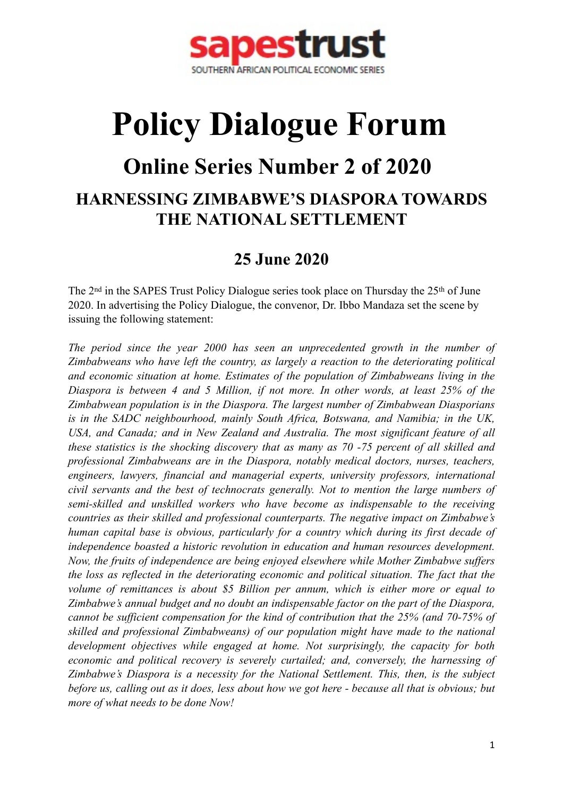

# **Policy Dialogue Forum**

## **Online Series Number 2 of 2020**

## **HARNESSING ZIMBABWE'S DIASPORA TOWARDS THE NATIONAL SETTLEMENT**

### **25 June 2020**

The 2nd in the SAPES Trust Policy Dialogue series took place on Thursday the 25th of June 2020. In advertising the Policy Dialogue, the convenor, Dr. Ibbo Mandaza set the scene by issuing the following statement:

*The period since the year 2000 has seen an unprecedented growth in the number of Zimbabweans who have left the country, as largely a reaction to the deteriorating political and economic situation at home. Estimates of the population of Zimbabweans living in the Diaspora is between 4 and 5 Million, if not more. In other words, at least 25% of the Zimbabwean population is in the Diaspora. The largest number of Zimbabwean Diasporians is in the SADC neighbourhood, mainly South Africa, Botswana, and Namibia; in the UK, USA, and Canada; and in New Zealand and Australia. The most significant feature of all these statistics is the shocking discovery that as many as 70 -75 percent of all skilled and professional Zimbabweans are in the Diaspora, notably medical doctors, nurses, teachers, engineers, lawyers, financial and managerial experts, university professors, international civil servants and the best of technocrats generally. Not to mention the large numbers of semi-skilled and unskilled workers who have become as indispensable to the receiving countries as their skilled and professional counterparts. The negative impact on Zimbabwe's human capital base is obvious, particularly for a country which during its first decade of independence boasted a historic revolution in education and human resources development. Now, the fruits of independence are being enjoyed elsewhere while Mother Zimbabwe suffers the loss as reflected in the deteriorating economic and political situation. The fact that the volume of remittances is about \$5 Billion per annum, which is either more or equal to Zimbabwe's annual budget and no doubt an indispensable factor on the part of the Diaspora, cannot be sufficient compensation for the kind of contribution that the 25% (and 70-75% of skilled and professional Zimbabweans) of our population might have made to the national development objectives while engaged at home. Not surprisingly, the capacity for both economic and political recovery is severely curtailed; and, conversely, the harnessing of Zimbabwe's Diaspora is a necessity for the National Settlement. This, then, is the subject before us, calling out as it does, less about how we got here - because all that is obvious; but more of what needs to be done Now!*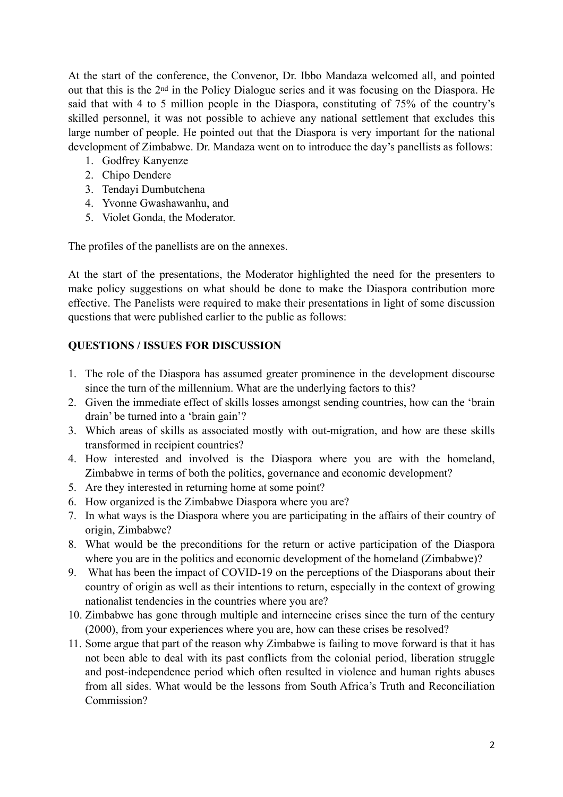At the start of the conference, the Convenor, Dr. Ibbo Mandaza welcomed all, and pointed out that this is the 2nd in the Policy Dialogue series and it was focusing on the Diaspora. He said that with 4 to 5 million people in the Diaspora, constituting of 75% of the country's skilled personnel, it was not possible to achieve any national settlement that excludes this large number of people. He pointed out that the Diaspora is very important for the national development of Zimbabwe. Dr. Mandaza went on to introduce the day's panellists as follows:

- 1. Godfrey Kanyenze
- 2. Chipo Dendere
- 3. Tendayi Dumbutchena
- 4. Yvonne Gwashawanhu, and
- 5. Violet Gonda, the Moderator.

The profiles of the panellists are on the annexes.

At the start of the presentations, the Moderator highlighted the need for the presenters to make policy suggestions on what should be done to make the Diaspora contribution more effective. The Panelists were required to make their presentations in light of some discussion questions that were published earlier to the public as follows:

#### **QUESTIONS / ISSUES FOR DISCUSSION**

- 1. The role of the Diaspora has assumed greater prominence in the development discourse since the turn of the millennium. What are the underlying factors to this?
- 2. Given the immediate effect of skills losses amongst sending countries, how can the 'brain drain' be turned into a 'brain gain'?
- 3. Which areas of skills as associated mostly with out-migration, and how are these skills transformed in recipient countries?
- 4. How interested and involved is the Diaspora where you are with the homeland, Zimbabwe in terms of both the politics, governance and economic development?
- 5. Are they interested in returning home at some point?
- 6. How organized is the Zimbabwe Diaspora where you are?
- 7. In what ways is the Diaspora where you are participating in the affairs of their country of origin, Zimbabwe?
- 8. What would be the preconditions for the return or active participation of the Diaspora where you are in the politics and economic development of the homeland (Zimbabwe)?
- 9. What has been the impact of COVID-19 on the perceptions of the Diasporans about their country of origin as well as their intentions to return, especially in the context of growing nationalist tendencies in the countries where you are?
- 10. Zimbabwe has gone through multiple and internecine crises since the turn of the century (2000), from your experiences where you are, how can these crises be resolved?
- 11. Some argue that part of the reason why Zimbabwe is failing to move forward is that it has not been able to deal with its past conflicts from the colonial period, liberation struggle and post-independence period which often resulted in violence and human rights abuses from all sides. What would be the lessons from South Africa's Truth and Reconciliation Commission?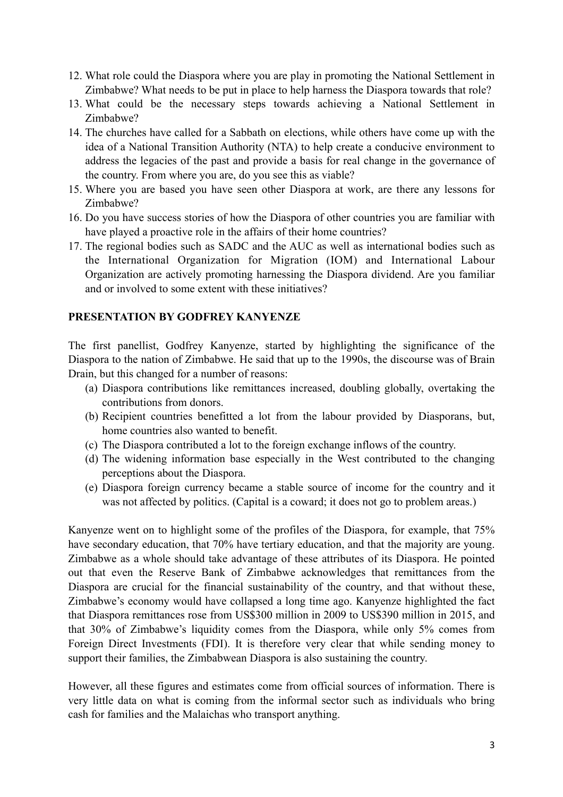- 12. What role could the Diaspora where you are play in promoting the National Settlement in Zimbabwe? What needs to be put in place to help harness the Diaspora towards that role?
- 13. What could be the necessary steps towards achieving a National Settlement in Zimbabwe?
- 14. The churches have called for a Sabbath on elections, while others have come up with the idea of a National Transition Authority (NTA) to help create a conducive environment to address the legacies of the past and provide a basis for real change in the governance of the country. From where you are, do you see this as viable?
- 15. Where you are based you have seen other Diaspora at work, are there any lessons for Zimbabwe?
- 16. Do you have success stories of how the Diaspora of other countries you are familiar with have played a proactive role in the affairs of their home countries?
- 17. The regional bodies such as SADC and the AUC as well as international bodies such as the International Organization for Migration (IOM) and International Labour Organization are actively promoting harnessing the Diaspora dividend. Are you familiar and or involved to some extent with these initiatives?

#### **PRESENTATION BY GODFREY KANYENZE**

The first panellist, Godfrey Kanyenze, started by highlighting the significance of the Diaspora to the nation of Zimbabwe. He said that up to the 1990s, the discourse was of Brain Drain, but this changed for a number of reasons:

- (a) Diaspora contributions like remittances increased, doubling globally, overtaking the contributions from donors.
- (b) Recipient countries benefitted a lot from the labour provided by Diasporans, but, home countries also wanted to benefit.
- (c) The Diaspora contributed a lot to the foreign exchange inflows of the country.
- (d) The widening information base especially in the West contributed to the changing perceptions about the Diaspora.
- (e) Diaspora foreign currency became a stable source of income for the country and it was not affected by politics. (Capital is a coward; it does not go to problem areas.)

Kanyenze went on to highlight some of the profiles of the Diaspora, for example, that 75% have secondary education, that 70% have tertiary education, and that the majority are young. Zimbabwe as a whole should take advantage of these attributes of its Diaspora. He pointed out that even the Reserve Bank of Zimbabwe acknowledges that remittances from the Diaspora are crucial for the financial sustainability of the country, and that without these, Zimbabwe's economy would have collapsed a long time ago. Kanyenze highlighted the fact that Diaspora remittances rose from US\$300 million in 2009 to US\$390 million in 2015, and that 30% of Zimbabwe's liquidity comes from the Diaspora, while only 5% comes from Foreign Direct Investments (FDI). It is therefore very clear that while sending money to support their families, the Zimbabwean Diaspora is also sustaining the country.

However, all these figures and estimates come from official sources of information. There is very little data on what is coming from the informal sector such as individuals who bring cash for families and the Malaichas who transport anything.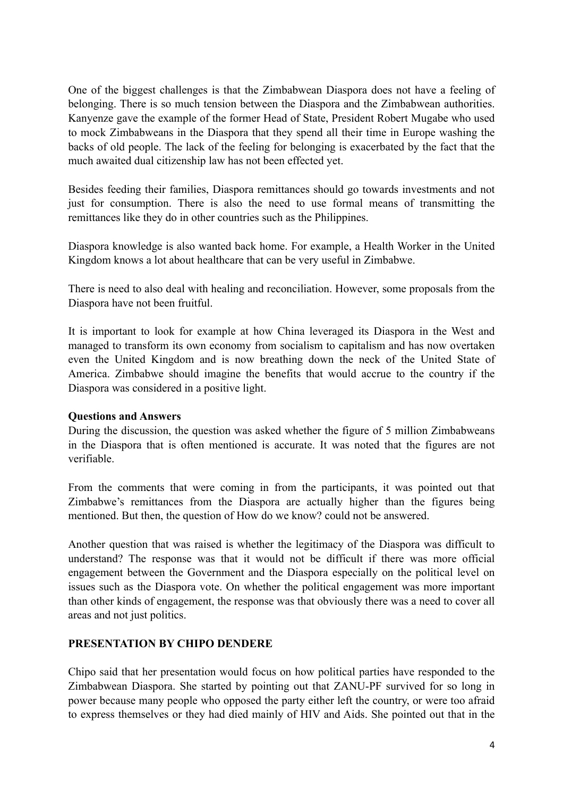One of the biggest challenges is that the Zimbabwean Diaspora does not have a feeling of belonging. There is so much tension between the Diaspora and the Zimbabwean authorities. Kanyenze gave the example of the former Head of State, President Robert Mugabe who used to mock Zimbabweans in the Diaspora that they spend all their time in Europe washing the backs of old people. The lack of the feeling for belonging is exacerbated by the fact that the much awaited dual citizenship law has not been effected yet.

Besides feeding their families, Diaspora remittances should go towards investments and not just for consumption. There is also the need to use formal means of transmitting the remittances like they do in other countries such as the Philippines.

Diaspora knowledge is also wanted back home. For example, a Health Worker in the United Kingdom knows a lot about healthcare that can be very useful in Zimbabwe.

There is need to also deal with healing and reconciliation. However, some proposals from the Diaspora have not been fruitful.

It is important to look for example at how China leveraged its Diaspora in the West and managed to transform its own economy from socialism to capitalism and has now overtaken even the United Kingdom and is now breathing down the neck of the United State of America. Zimbabwe should imagine the benefits that would accrue to the country if the Diaspora was considered in a positive light.

#### **Questions and Answers**

During the discussion, the question was asked whether the figure of 5 million Zimbabweans in the Diaspora that is often mentioned is accurate. It was noted that the figures are not verifiable.

From the comments that were coming in from the participants, it was pointed out that Zimbabwe's remittances from the Diaspora are actually higher than the figures being mentioned. But then, the question of How do we know? could not be answered.

Another question that was raised is whether the legitimacy of the Diaspora was difficult to understand? The response was that it would not be difficult if there was more official engagement between the Government and the Diaspora especially on the political level on issues such as the Diaspora vote. On whether the political engagement was more important than other kinds of engagement, the response was that obviously there was a need to cover all areas and not just politics.

#### **PRESENTATION BY CHIPO DENDERE**

Chipo said that her presentation would focus on how political parties have responded to the Zimbabwean Diaspora. She started by pointing out that ZANU-PF survived for so long in power because many people who opposed the party either left the country, or were too afraid to express themselves or they had died mainly of HIV and Aids. She pointed out that in the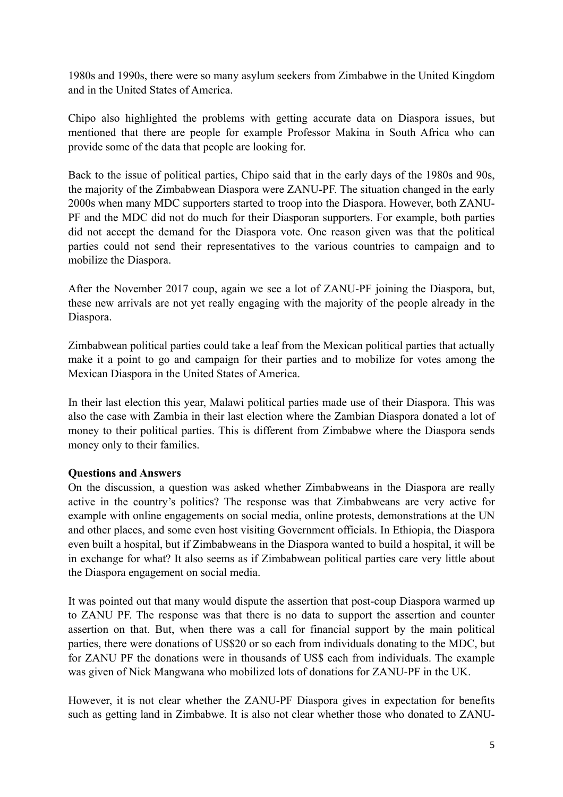1980s and 1990s, there were so many asylum seekers from Zimbabwe in the United Kingdom and in the United States of America.

Chipo also highlighted the problems with getting accurate data on Diaspora issues, but mentioned that there are people for example Professor Makina in South Africa who can provide some of the data that people are looking for.

Back to the issue of political parties, Chipo said that in the early days of the 1980s and 90s, the majority of the Zimbabwean Diaspora were ZANU-PF. The situation changed in the early 2000s when many MDC supporters started to troop into the Diaspora. However, both ZANU-PF and the MDC did not do much for their Diasporan supporters. For example, both parties did not accept the demand for the Diaspora vote. One reason given was that the political parties could not send their representatives to the various countries to campaign and to mobilize the Diaspora.

After the November 2017 coup, again we see a lot of ZANU-PF joining the Diaspora, but, these new arrivals are not yet really engaging with the majority of the people already in the Diaspora.

Zimbabwean political parties could take a leaf from the Mexican political parties that actually make it a point to go and campaign for their parties and to mobilize for votes among the Mexican Diaspora in the United States of America.

In their last election this year, Malawi political parties made use of their Diaspora. This was also the case with Zambia in their last election where the Zambian Diaspora donated a lot of money to their political parties. This is different from Zimbabwe where the Diaspora sends money only to their families.

#### **Questions and Answers**

On the discussion, a question was asked whether Zimbabweans in the Diaspora are really active in the country's politics? The response was that Zimbabweans are very active for example with online engagements on social media, online protests, demonstrations at the UN and other places, and some even host visiting Government officials. In Ethiopia, the Diaspora even built a hospital, but if Zimbabweans in the Diaspora wanted to build a hospital, it will be in exchange for what? It also seems as if Zimbabwean political parties care very little about the Diaspora engagement on social media.

It was pointed out that many would dispute the assertion that post-coup Diaspora warmed up to ZANU PF. The response was that there is no data to support the assertion and counter assertion on that. But, when there was a call for financial support by the main political parties, there were donations of US\$20 or so each from individuals donating to the MDC, but for ZANU PF the donations were in thousands of US\$ each from individuals. The example was given of Nick Mangwana who mobilized lots of donations for ZANU-PF in the UK.

However, it is not clear whether the ZANU-PF Diaspora gives in expectation for benefits such as getting land in Zimbabwe. It is also not clear whether those who donated to ZANU-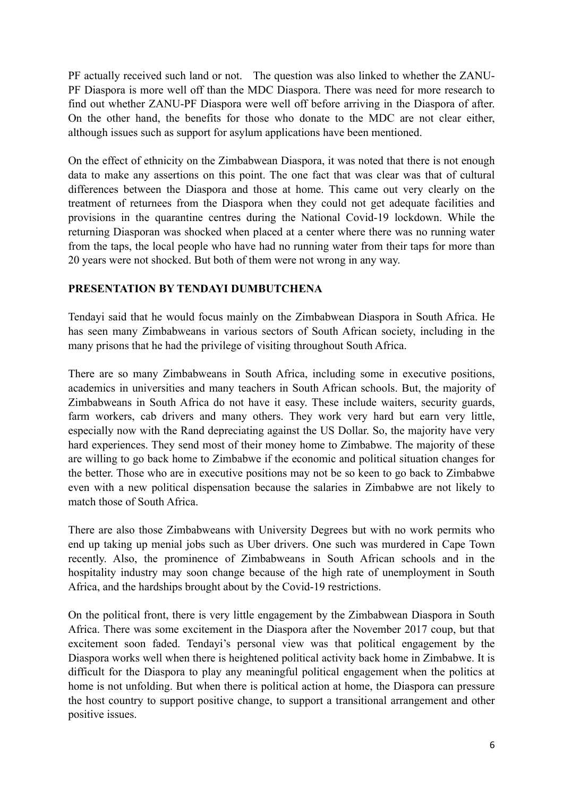PF actually received such land or not. The question was also linked to whether the ZANU-PF Diaspora is more well off than the MDC Diaspora. There was need for more research to find out whether ZANU-PF Diaspora were well off before arriving in the Diaspora of after. On the other hand, the benefits for those who donate to the MDC are not clear either, although issues such as support for asylum applications have been mentioned.

On the effect of ethnicity on the Zimbabwean Diaspora, it was noted that there is not enough data to make any assertions on this point. The one fact that was clear was that of cultural differences between the Diaspora and those at home. This came out very clearly on the treatment of returnees from the Diaspora when they could not get adequate facilities and provisions in the quarantine centres during the National Covid-19 lockdown. While the returning Diasporan was shocked when placed at a center where there was no running water from the taps, the local people who have had no running water from their taps for more than 20 years were not shocked. But both of them were not wrong in any way.

#### **PRESENTATION BY TENDAYI DUMBUTCHENA**

Tendayi said that he would focus mainly on the Zimbabwean Diaspora in South Africa. He has seen many Zimbabweans in various sectors of South African society, including in the many prisons that he had the privilege of visiting throughout South Africa.

There are so many Zimbabweans in South Africa, including some in executive positions, academics in universities and many teachers in South African schools. But, the majority of Zimbabweans in South Africa do not have it easy. These include waiters, security guards, farm workers, cab drivers and many others. They work very hard but earn very little, especially now with the Rand depreciating against the US Dollar. So, the majority have very hard experiences. They send most of their money home to Zimbabwe. The majority of these are willing to go back home to Zimbabwe if the economic and political situation changes for the better. Those who are in executive positions may not be so keen to go back to Zimbabwe even with a new political dispensation because the salaries in Zimbabwe are not likely to match those of South Africa.

There are also those Zimbabweans with University Degrees but with no work permits who end up taking up menial jobs such as Uber drivers. One such was murdered in Cape Town recently. Also, the prominence of Zimbabweans in South African schools and in the hospitality industry may soon change because of the high rate of unemployment in South Africa, and the hardships brought about by the Covid-19 restrictions.

On the political front, there is very little engagement by the Zimbabwean Diaspora in South Africa. There was some excitement in the Diaspora after the November 2017 coup, but that excitement soon faded. Tendayi's personal view was that political engagement by the Diaspora works well when there is heightened political activity back home in Zimbabwe. It is difficult for the Diaspora to play any meaningful political engagement when the politics at home is not unfolding. But when there is political action at home, the Diaspora can pressure the host country to support positive change, to support a transitional arrangement and other positive issues.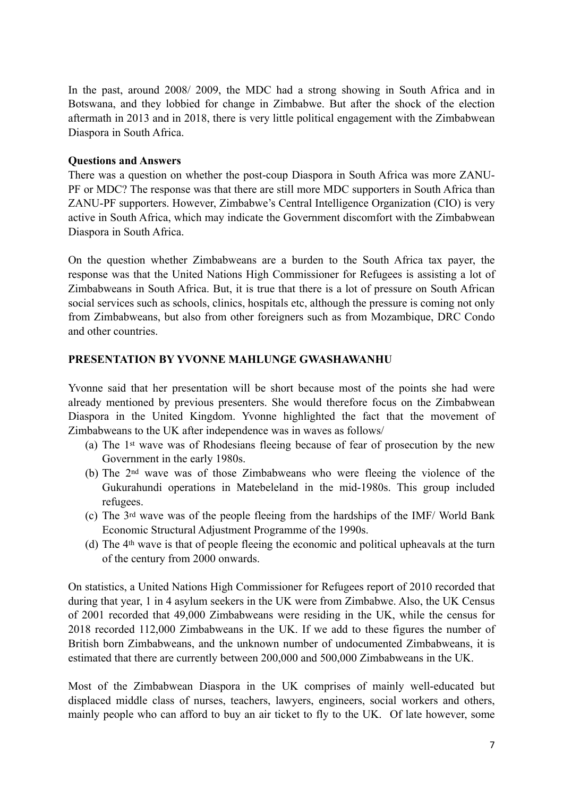In the past, around 2008/ 2009, the MDC had a strong showing in South Africa and in Botswana, and they lobbied for change in Zimbabwe. But after the shock of the election aftermath in 2013 and in 2018, there is very little political engagement with the Zimbabwean Diaspora in South Africa.

#### **Questions and Answers**

There was a question on whether the post-coup Diaspora in South Africa was more ZANU-PF or MDC? The response was that there are still more MDC supporters in South Africa than ZANU-PF supporters. However, Zimbabwe's Central Intelligence Organization (CIO) is very active in South Africa, which may indicate the Government discomfort with the Zimbabwean Diaspora in South Africa.

On the question whether Zimbabweans are a burden to the South Africa tax payer, the response was that the United Nations High Commissioner for Refugees is assisting a lot of Zimbabweans in South Africa. But, it is true that there is a lot of pressure on South African social services such as schools, clinics, hospitals etc, although the pressure is coming not only from Zimbabweans, but also from other foreigners such as from Mozambique, DRC Condo and other countries.

#### **PRESENTATION BY YVONNE MAHLUNGE GWASHAWANHU**

Yvonne said that her presentation will be short because most of the points she had were already mentioned by previous presenters. She would therefore focus on the Zimbabwean Diaspora in the United Kingdom. Yvonne highlighted the fact that the movement of Zimbabweans to the UK after independence was in waves as follows/

- (a) The 1st wave was of Rhodesians fleeing because of fear of prosecution by the new Government in the early 1980s.
- (b) The 2nd wave was of those Zimbabweans who were fleeing the violence of the Gukurahundi operations in Matebeleland in the mid-1980s. This group included refugees.
- (c) The 3rd wave was of the people fleeing from the hardships of the IMF/ World Bank Economic Structural Adjustment Programme of the 1990s.
- (d) The 4th wave is that of people fleeing the economic and political upheavals at the turn of the century from 2000 onwards.

On statistics, a United Nations High Commissioner for Refugees report of 2010 recorded that during that year, 1 in 4 asylum seekers in the UK were from Zimbabwe. Also, the UK Census of 2001 recorded that 49,000 Zimbabweans were residing in the UK, while the census for 2018 recorded 112,000 Zimbabweans in the UK. If we add to these figures the number of British born Zimbabweans, and the unknown number of undocumented Zimbabweans, it is estimated that there are currently between 200,000 and 500,000 Zimbabweans in the UK.

Most of the Zimbabwean Diaspora in the UK comprises of mainly well-educated but displaced middle class of nurses, teachers, lawyers, engineers, social workers and others, mainly people who can afford to buy an air ticket to fly to the UK. Of late however, some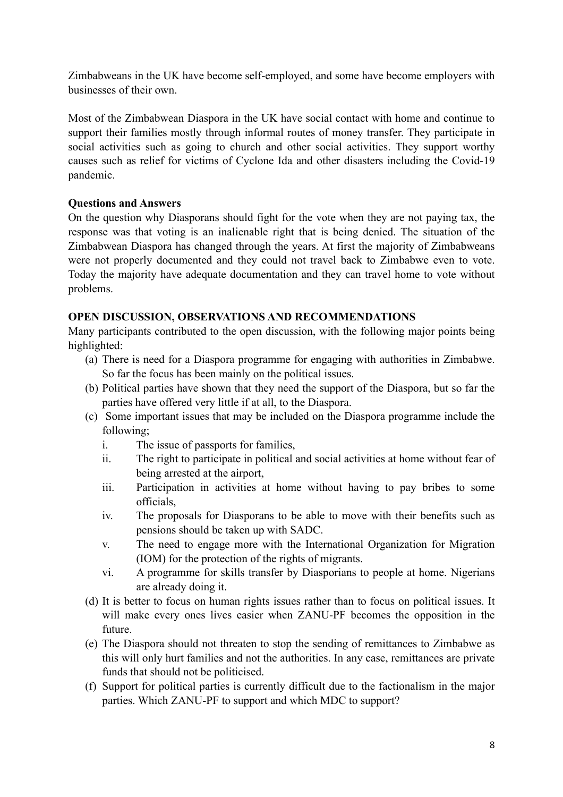Zimbabweans in the UK have become self-employed, and some have become employers with businesses of their own.

Most of the Zimbabwean Diaspora in the UK have social contact with home and continue to support their families mostly through informal routes of money transfer. They participate in social activities such as going to church and other social activities. They support worthy causes such as relief for victims of Cyclone Ida and other disasters including the Covid-19 pandemic.

#### **Questions and Answers**

On the question why Diasporans should fight for the vote when they are not paying tax, the response was that voting is an inalienable right that is being denied. The situation of the Zimbabwean Diaspora has changed through the years. At first the majority of Zimbabweans were not properly documented and they could not travel back to Zimbabwe even to vote. Today the majority have adequate documentation and they can travel home to vote without problems.

#### **OPEN DISCUSSION, OBSERVATIONS AND RECOMMENDATIONS**

Many participants contributed to the open discussion, with the following major points being highlighted:

- (a) There is need for a Diaspora programme for engaging with authorities in Zimbabwe. So far the focus has been mainly on the political issues.
- (b) Political parties have shown that they need the support of the Diaspora, but so far the parties have offered very little if at all, to the Diaspora.
- (c) Some important issues that may be included on the Diaspora programme include the following;
	- i. The issue of passports for families,
	- ii. The right to participate in political and social activities at home without fear of being arrested at the airport,
	- iii. Participation in activities at home without having to pay bribes to some officials,
	- iv. The proposals for Diasporans to be able to move with their benefits such as pensions should be taken up with SADC.
	- v. The need to engage more with the International Organization for Migration (IOM) for the protection of the rights of migrants.
	- vi. A programme for skills transfer by Diasporians to people at home. Nigerians are already doing it.
- (d) It is better to focus on human rights issues rather than to focus on political issues. It will make every ones lives easier when ZANU-PF becomes the opposition in the future.
- (e) The Diaspora should not threaten to stop the sending of remittances to Zimbabwe as this will only hurt families and not the authorities. In any case, remittances are private funds that should not be politicised.
- (f) Support for political parties is currently difficult due to the factionalism in the major parties. Which ZANU-PF to support and which MDC to support?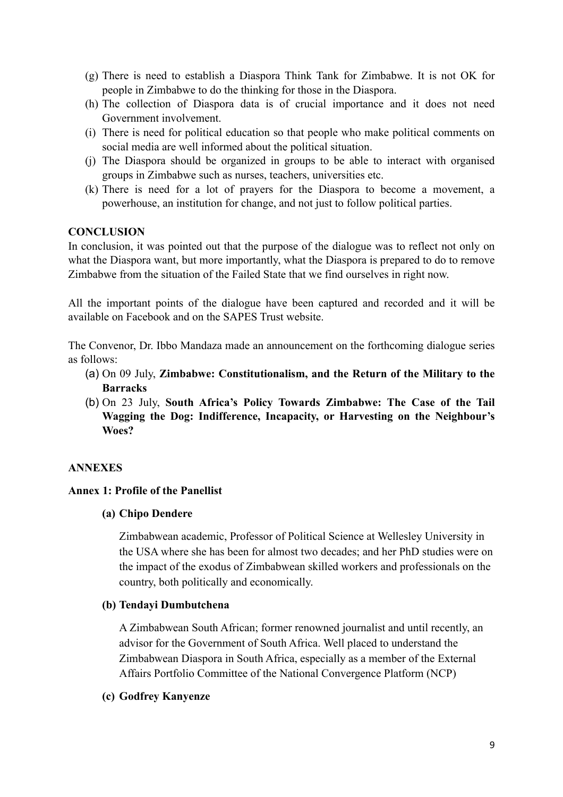- (g) There is need to establish a Diaspora Think Tank for Zimbabwe. It is not OK for people in Zimbabwe to do the thinking for those in the Diaspora.
- (h) The collection of Diaspora data is of crucial importance and it does not need Government involvement.
- (i) There is need for political education so that people who make political comments on social media are well informed about the political situation.
- (j) The Diaspora should be organized in groups to be able to interact with organised groups in Zimbabwe such as nurses, teachers, universities etc.
- (k) There is need for a lot of prayers for the Diaspora to become a movement, a powerhouse, an institution for change, and not just to follow political parties.

#### **CONCLUSION**

In conclusion, it was pointed out that the purpose of the dialogue was to reflect not only on what the Diaspora want, but more importantly, what the Diaspora is prepared to do to remove Zimbabwe from the situation of the Failed State that we find ourselves in right now.

All the important points of the dialogue have been captured and recorded and it will be available on Facebook and on the SAPES Trust website.

The Convenor, Dr. Ibbo Mandaza made an announcement on the forthcoming dialogue series as follows:

- (a) On 09 July, **Zimbabwe: Constitutionalism, and the Return of the Military to the Barracks**
- (b) On 23 July, **South Africa's Policy Towards Zimbabwe: The Case of the Tail Wagging the Dog: Indifference, Incapacity, or Harvesting on the Neighbour's Woes?**

#### **ANNEXES**

#### **Annex 1: Profile of the Panellist**

#### **(a) Chipo Dendere**

Zimbabwean academic, Professor of Political Science at Wellesley University in the USA where she has been for almost two decades; and her PhD studies were on the impact of the exodus of Zimbabwean skilled workers and professionals on the country, both politically and economically.

#### **(b) Tendayi Dumbutchena**

A Zimbabwean South African; former renowned journalist and until recently, an advisor for the Government of South Africa. Well placed to understand the Zimbabwean Diaspora in South Africa, especially as a member of the External Affairs Portfolio Committee of the National Convergence Platform (NCP)

#### **(c) Godfrey Kanyenze**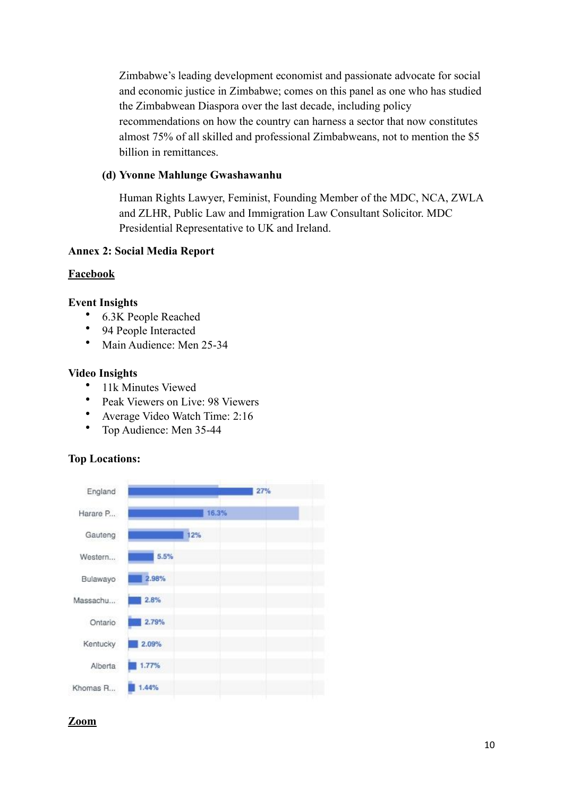Zimbabwe's leading development economist and passionate advocate for social and economic justice in Zimbabwe; comes on this panel as one who has studied the Zimbabwean Diaspora over the last decade, including policy recommendations on how the country can harness a sector that now constitutes almost 75% of all skilled and professional Zimbabweans, not to mention the \$5 billion in remittances.

#### **(d) Yvonne Mahlunge Gwashawanhu**

Human Rights Lawyer, Feminist, Founding Member of the MDC, NCA, ZWLA and ZLHR, Public Law and Immigration Law Consultant Solicitor. MDC Presidential Representative to UK and Ireland.

#### **Annex 2: Social Media Report**

#### **Facebook**

#### **Event Insights**

- 6.3K People Reached
- 94 People Interacted
- Main Audience: Men 25-34

#### **Video Insights**

- 11k Minutes Viewed
- Peak Viewers on Live: 98 Viewers
- Average Video Watch Time: 2:16
- Top Audience: Men 35-44

#### **Top Locations:**



#### **Zoom**